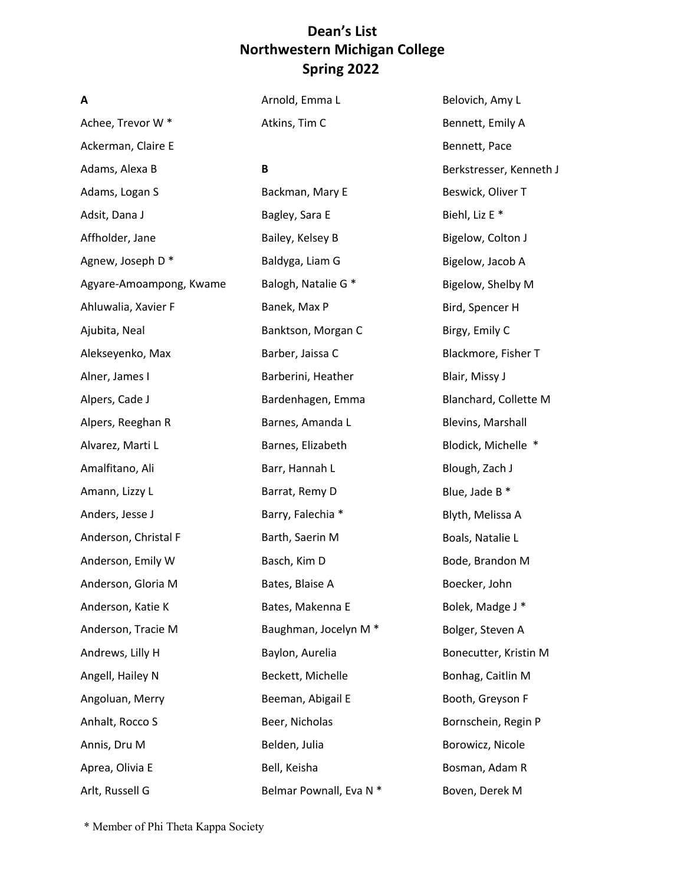| A                       | Arnold, Emma L                   | Belovich, Amy L           |
|-------------------------|----------------------------------|---------------------------|
| Achee, Trevor W*        | Atkins, Tim C                    | Bennett, Emily A          |
| Ackerman, Claire E      |                                  | Bennett, Pace             |
| Adams, Alexa B          | B                                | Berkstresser, Kenneth J   |
| Adams, Logan S          | Backman, Mary E                  | Beswick, Oliver T         |
| Adsit, Dana J           | Bagley, Sara E                   | Biehl, Liz E <sup>*</sup> |
| Affholder, Jane         | Bailey, Kelsey B                 | Bigelow, Colton J         |
| Agnew, Joseph D*        | Baldyga, Liam G                  | Bigelow, Jacob A          |
| Agyare-Amoampong, Kwame | Balogh, Natalie G *              | Bigelow, Shelby M         |
| Ahluwalia, Xavier F     | Banek, Max P                     | Bird, Spencer H           |
| Ajubita, Neal           | Banktson, Morgan C               | Birgy, Emily C            |
| Alekseyenko, Max        | Barber, Jaissa C                 | Blackmore, Fisher T       |
| Alner, James I          | Barberini, Heather               | Blair, Missy J            |
| Alpers, Cade J          | Bardenhagen, Emma                | Blanchard, Collette M     |
| Alpers, Reeghan R       | Barnes, Amanda L                 | Blevins, Marshall         |
| Alvarez, Marti L        | Barnes, Elizabeth                | Blodick, Michelle *       |
| Amalfitano, Ali         | Barr, Hannah L                   | Blough, Zach J            |
| Amann, Lizzy L          | Barrat, Remy D                   | Blue, Jade B *            |
| Anders, Jesse J         | Barry, Falechia *                | Blyth, Melissa A          |
| Anderson, Christal F    | Barth, Saerin M                  | Boals, Natalie L          |
| Anderson, Emily W       | Basch, Kim D                     | Bode, Brandon M           |
| Anderson, Gloria M      | Bates, Blaise A                  | Boecker, John             |
| Anderson, Katie K       | Bates, Makenna E                 | Bolek, Madge J *          |
| Anderson, Tracie M      | Baughman, Jocelyn M <sup>*</sup> | Bolger, Steven A          |
| Andrews, Lilly H        | Baylon, Aurelia                  | Bonecutter, Kristin M     |
| Angell, Hailey N        | Beckett, Michelle                | Bonhag, Caitlin M         |
| Angoluan, Merry         | Beeman, Abigail E                | Booth, Greyson F          |
| Anhalt, Rocco S         | Beer, Nicholas                   | Bornschein, Regin P       |
| Annis, Dru M            | Belden, Julia                    | Borowicz, Nicole          |
| Aprea, Olivia E         | Bell, Keisha                     | Bosman, Adam R            |
| Arlt, Russell G         | Belmar Pownall, Eva N *          | Boven, Derek M            |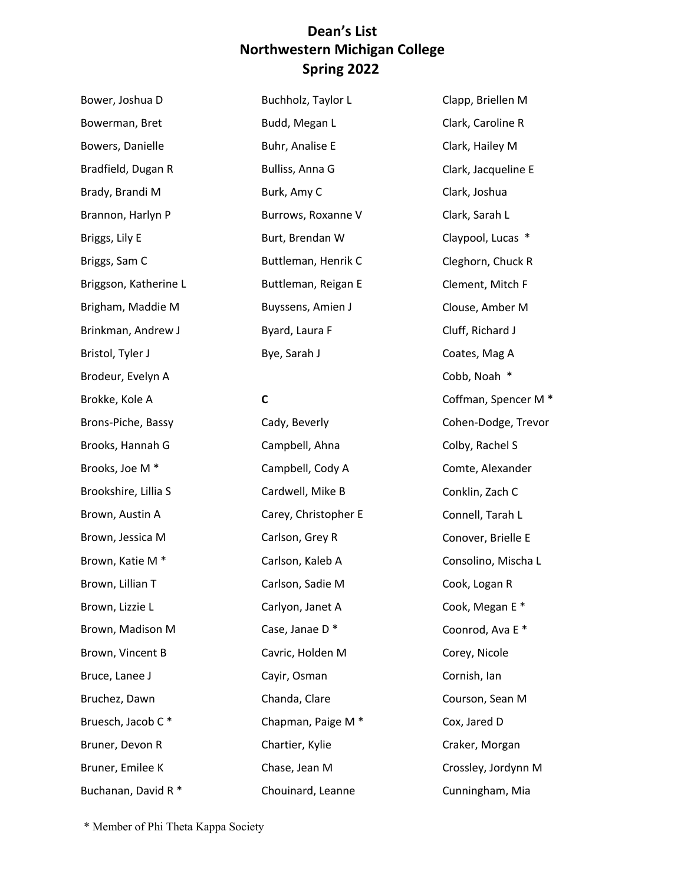Bradfield, Dugan R Brady, Brandi M Brannon, Harlyn P Briggs, Sam C Brinkman, Andrew J Brodeur, Evelyn A Brooks, Hannah G Brooks, Joe M \* Brown, Austin A Brown, Katie M \* Brown, Lillian T Brown, Madison M Brown, Vincent B Bruesch, Jacob C \* Buchanan, David R \* Bower, Joshua D Bowerman, Bret Bowers, Danielle Briggs, Lily E Briggson, Katherine L Brigham, Maddie M Bristol, Tyler J Brokke, Kole A Brons-Piche, Bassy Brookshire, Lillia S Brown, Jessica M Brown, Lizzie L Bruce, Lanee J Bruchez, Dawn Bruner, Devon R Bruner, Emilee K

 Budd, Megan L Burt, Brendan W Buttleman, Reigan E Buyssens, Amien J Bye, Sarah J Buchholz, Taylor L Buhr, Analise E Bulliss, Anna G Burk, Amy C Burrows, Roxanne V Buttleman, Henrik C Byard, Laura F

**C** 

 Chapman, Paige M \* Cady, Beverly Campbell, Ahna Campbell, Cody A Cardwell, Mike B Carey, Christopher E Carlson, Grey R Carlson, Kaleb A Carlson, Sadie M Carlyon, Janet A Case, Janae D \* Cavric, Holden M Cayir, Osman Chanda, Clare Chartier, Kylie Chase, Jean M Chouinard, Leanne

Clapp, Briellen M Clark, Caroline R Clark, Hailey M Clark, Jacqueline E Clark, Joshua Clark, Sarah L Claypool, Lucas \* Cleghorn, Chuck R Clement, Mitch F Clouse, Amber M Cluff, Richard J Coates, Mag A Cobb, Noah \* Coffman, Spencer M \* Cohen-Dodge, Trevor Colby, Rachel S Comte, Alexander Conklin, Zach C Connell, Tarah L Conover, Brielle E Consolino, Mischa L Cook, Logan R Cook, Megan E \* Coonrod, Ava E \* Corey, Nicole Cornish, Ian Courson, Sean M Cox, Jared D Craker, Morgan Crossley, Jordynn M Cunningham, Mia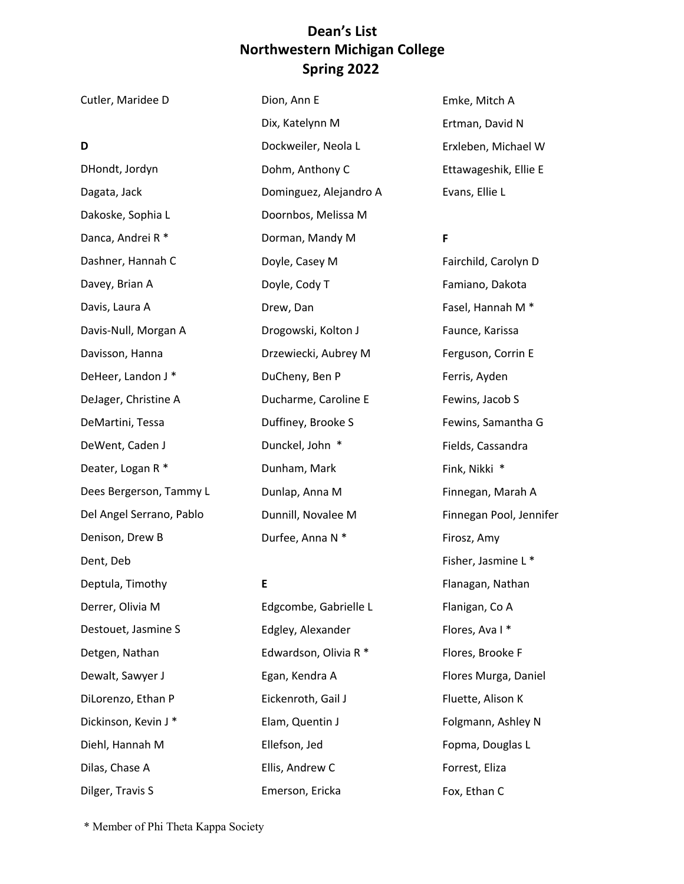| Cutler, Maridee D        | Dion, Ann E            | Emke, Mitch A                |
|--------------------------|------------------------|------------------------------|
|                          | Dix, Katelynn M        | Ertman, David N              |
| D                        | Dockweiler, Neola L    | Erxleben, Michael W          |
| DHondt, Jordyn           | Dohm, Anthony C        | Ettawageshik, Ellie E        |
| Dagata, Jack             | Dominguez, Alejandro A | Evans, Ellie L               |
| Dakoske, Sophia L        | Doornbos, Melissa M    |                              |
| Danca, Andrei R *        | Dorman, Mandy M        | F                            |
| Dashner, Hannah C        | Doyle, Casey M         | Fairchild, Carolyn D         |
| Davey, Brian A           | Doyle, Cody T          | Famiano, Dakota              |
| Davis, Laura A           | Drew, Dan              | Fasel, Hannah M <sup>*</sup> |
| Davis-Null, Morgan A     | Drogowski, Kolton J    | Faunce, Karissa              |
| Davisson, Hanna          | Drzewiecki, Aubrey M   | Ferguson, Corrin E           |
| DeHeer, Landon J*        | DuCheny, Ben P         | Ferris, Ayden                |
| DeJager, Christine A     | Ducharme, Caroline E   | Fewins, Jacob S              |
| DeMartini, Tessa         | Duffiney, Brooke S     | Fewins, Samantha G           |
| DeWent, Caden J          | Dunckel, John *        | Fields, Cassandra            |
| Deater, Logan R *        | Dunham, Mark           | Fink, Nikki *                |
| Dees Bergerson, Tammy L  | Dunlap, Anna M         | Finnegan, Marah A            |
| Del Angel Serrano, Pablo | Dunnill, Novalee M     | Finnegan Pool, Jennifer      |
| Denison, Drew B          | Durfee, Anna N *       | Firosz, Amy                  |
| Dent, Deb                |                        | Fisher, Jasmine L *          |
| Deptula, Timothy         | E                      | Flanagan, Nathan             |
| Derrer, Olivia M         | Edgcombe, Gabrielle L  | Flanigan, Co A               |
| Destouet, Jasmine S      | Edgley, Alexander      | Flores, Ava I*               |
| Detgen, Nathan           | Edwardson, Olivia R *  | Flores, Brooke F             |
| Dewalt, Sawyer J         | Egan, Kendra A         | Flores Murga, Daniel         |
| DiLorenzo, Ethan P       | Eickenroth, Gail J     | Fluette, Alison K            |
| Dickinson, Kevin J*      | Elam, Quentin J        | Folgmann, Ashley N           |
| Diehl, Hannah M          | Ellefson, Jed          | Fopma, Douglas L             |

Ellis, Andrew C

Forrest, Eliza

Fox, Ethan C

Emerson, Ericka

\* Member of Phi Theta Kappa Society

Dilger, Travis S

Dilas, Chase A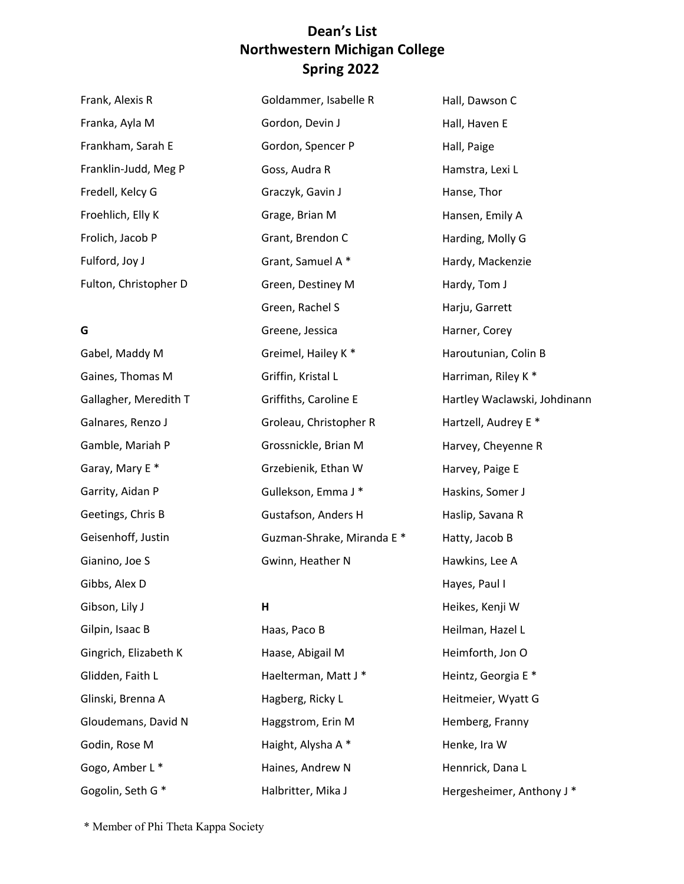| Frank, Alexis R       | Goldammer, Isabelle R | Hall, Dawson C          |
|-----------------------|-----------------------|-------------------------|
| Franka, Ayla M        | Gordon, Devin J       | Hall, Haven E           |
| Frankham, Sarah E     | Gordon, Spencer P     | Hall, Paige             |
| Franklin-Judd, Meg P  | Goss, Audra R         | Hamstra, Lexi L         |
| Fredell, Kelcy G      | Graczyk, Gavin J      | Hanse, Thor             |
| Froehlich, Elly K     | Grage, Brian M        | Hansen, Emily A         |
| Frolich, Jacob P      | Grant, Brendon C      | Harding, Molly G        |
| Fulford, Joy J        | Grant, Samuel A*      | Hardy, Mackenzie        |
| Fulton, Christopher D | Green, Destiney M     | Hardy, Tom J            |
|                       | Croon Dachol C        | $\mathsf{Hint}$ Corrott |

#### **G**

 Gaines, Thomas M Galnares, Renzo J Gamble, Mariah P Garay, Mary E \* Garrity, Aidan P Geetings, Chris B Gibbs, Alex D Gilpin, Isaac B Gingrich, Elizabeth K Glidden, Faith L Glinski, Brenna A Gloudemans, David N Gogo, Amber L \* Gogolin, Seth G \* Gabel, Maddy M Gallagher, Meredith T Geisenhoff, Justin Gianino, Joe S Gibson, Lily J Godin, Rose M

 Green, Rachel S Groleau, Christopher R Grossnickle, Brian M Grzebienik, Ethan W Gullekson, Emma J \* Gustafson, Anders H Gwinn, Heather N Greene, Jessica Greimel, Hailey K \* Griffin, Kristal L Griffiths, Caroline E Guzman-Shrake, Miranda E \*

#### **H**

 Haas, Paco B Haase, Abigail M Haelterman, Matt J \* Haggstrom, Erin M Haight, Alysha A \* Haines, Andrew N Halbritter, Mika J Hagberg, Ricky L

 Haroutunian, Colin B Hartzell, Audrey E \* Haskins, Somer J Haslip, Savana R Hatty, Jacob B Hayes, Paul I Heikes, Kenji W Heilman, Hazel L Heimforth, Jon O Heitmeier, Wyatt G Henke, Ira W Hennrick, Dana L Hergesheimer, Anthony J \* Harju, Garrett Harner, Corey Harriman, Riley K \* Hartley Waclawski, Johdinann Harvey, Cheyenne R Harvey, Paige E Hawkins, Lee A Heintz, Georgia E \* Hemberg, Franny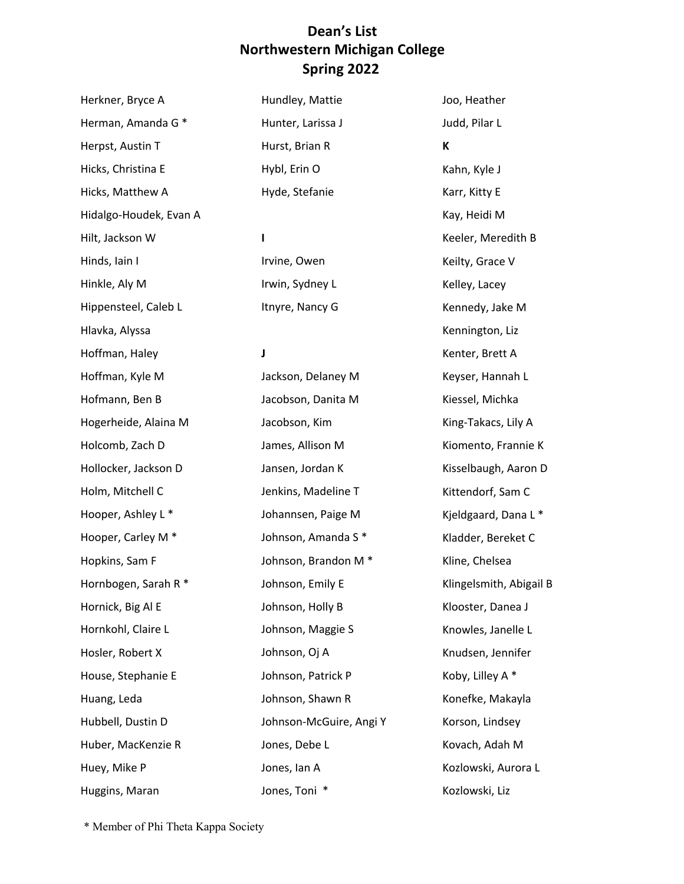Herman, Amanda G \* Herpst, Austin T Hicks, Christina E Hicks, Matthew A Hidalgo-Houdek, Evan A Hilt, Jackson W Hinds, Iain I Hippensteel, Caleb L Hofmann, Ben B Hogerheide, Alaina M Holcomb, Zach D Hollocker, Jackson D Holm, Mitchell C Hooper, Ashley L \* Hooper, Carley M \* Hopkins, Sam F Hornbogen, Sarah R \* Hosler, Robert X Hubbell, Dustin D Hunter, Larissa J Hurst, Brian R Hybl, Erin O Johnson-McGuire, Angi Y Jones, Toni \* Herkner, Bryce A Hinkle, Aly M Hlavka, Alyssa Hoffman, Haley Hoffman, Kyle M Hornick, Big Al E Hornkohl, Claire L House, Stephanie E Huang, Leda Huber, MacKenzie R Huey, Mike P Huggins, Maran Hundley, Mattie Hyde, Stefanie **I**  Irvine, Owen Irwin, Sydney L Itnyre, Nancy G **J**  Jackson, Delaney M Jacobson, Danita M Jacobson, Kim James, Allison M Jansen, Jordan K Jenkins, Madeline T Johannsen, Paige M Johnson, Amanda S \* Johnson, Brandon M \* Johnson, Emily E Johnson, Holly B Johnson, Maggie S Johnson, Oj A Johnson, Patrick P Johnson, Shawn R Jones, Debe L Jones, Ian A

 Kay, Heidi M Keeler, Meredith B Kenter, Brett A Keyser, Hannah L Kisselbaugh, Aaron D Kittendorf, Sam C Kjeldgaard, Dana L \* Kladder, Bereket C Klingelsmith, Abigail B Klooster, Danea J Kovach, Adah M Kozlowski, Aurora L Joo, Heather Judd, Pilar L **K**  Kahn, Kyle J Karr, Kitty E Keilty, Grace V Kelley, Lacey Kennedy, Jake M Kennington, Liz Kiessel, Michka King-Takacs, Lily A Kiomento, Frannie K Kline, Chelsea Knowles, Janelle L Knudsen, Jennifer Koby, Lilley A \* Konefke, Makayla Korson, Lindsey Kozlowski, Liz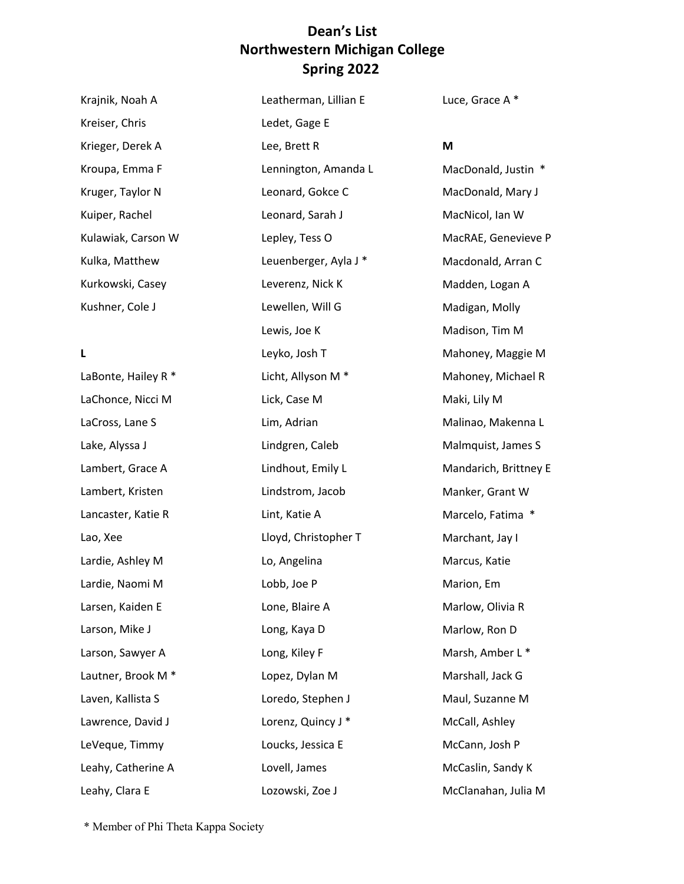Krajnik, Noah A Kroupa, Emma F Kruger, Taylor N Kulawiak, Carson W Kreiser, Chris Krieger, Derek A Kuiper, Rachel Kulka, Matthew Kurkowski, Casey Kushner, Cole J

#### **L**

LaBonte, Hailey R \* LaChonce, Nicci M LaCross, Lane S Lake, Alyssa J Lambert, Grace A Lambert, Kristen Lancaster, Katie R Lao, Xee Lardie, Ashley M Lardie, Naomi M Larsen, Kaiden E Larson, Mike J Larson, Sawyer A Lautner, Brook M \* Laven, Kallista S Lawrence, David J LeVeque, Timmy Leahy, Catherine A Leahy, Clara E

Leatherman, Lillian E Ledet, Gage E Lee, Brett R Lennington, Amanda L Leonard, Gokce C Leonard, Sarah J Lepley, Tess O Leuenberger, Ayla J \* Leverenz, Nick K Lewellen, Will G Lewis, Joe K Leyko, Josh T Licht, Allyson M \* Lick, Case M Lim, Adrian Lindgren, Caleb Lindhout, Emily L Lindstrom, Jacob Lint, Katie A Lloyd, Christopher T Lo, Angelina Lobb, Joe P Lone, Blaire A Long, Kaya D Long, Kiley F Lopez, Dylan M Loredo, Stephen J Lorenz, Quincy J \* Loucks, Jessica E Lovell, James Lozowski, Zoe J

Luce, Grace A \*

#### **M**

 MacDonald, Justin \* MacDonald, Mary J MacNicol, Ian W MacRAE, Genevieve P Macdonald, Arran C Madden, Logan A Mahoney, Michael R Maki, Lily M Malinao, Makenna L Malmquist, James S Mandarich, Brittney E Manker, Grant W Marcelo, Fatima \* Marchant, Jay I Marlow, Olivia R Marlow, Ron D Marsh, Amber L \* Marshall, Jack G McCann, Josh P McCaslin, Sandy K McClanahan, Julia M Madigan, Molly Madison, Tim M Mahoney, Maggie M Marcus, Katie Marion, Em Maul, Suzanne M McCall, Ashley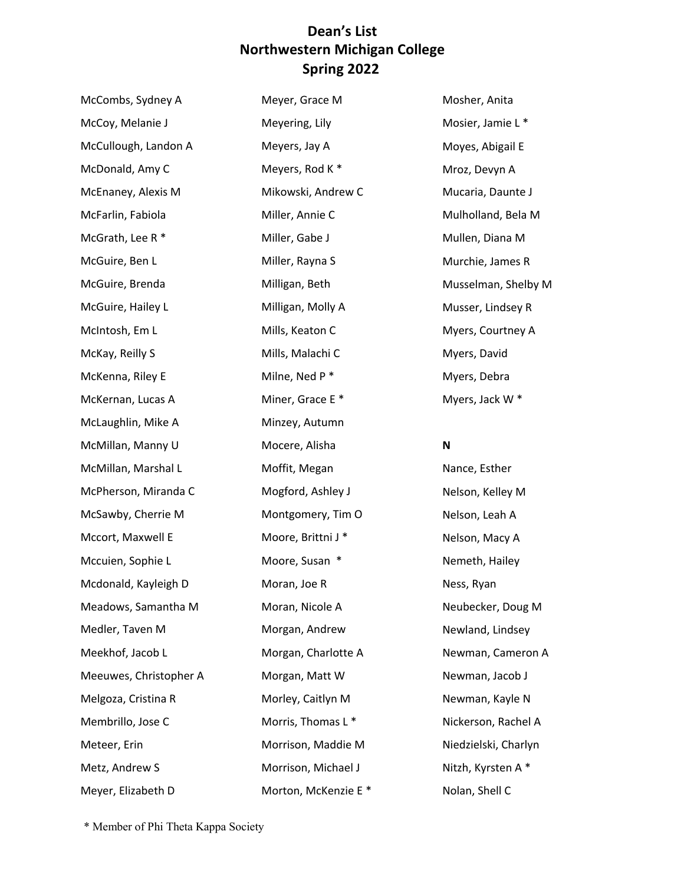| McCombs, Sydney A      | Meyer, Grace M      | Ŋ |
|------------------------|---------------------|---|
| McCoy, Melanie J       | Meyering, Lily      | Ŋ |
| McCullough, Landon A   | Meyers, Jay A       | ľ |
| McDonald, Amy C        | Meyers, Rod K*      | ľ |
| McEnaney, Alexis M     | Mikowski, Andrew C  | Ŋ |
| McFarlin, Fabiola      | Miller, Annie C     | ľ |
| McGrath, Lee R *       | Miller, Gabe J      | Ŋ |
| McGuire, Ben L         | Miller, Rayna S     | ľ |
| McGuire, Brenda        | Milligan, Beth      | Ŋ |
| McGuire, Hailey L      | Milligan, Molly A   | ľ |
| McIntosh, Em L         | Mills, Keaton C     | Ŋ |
| McKay, Reilly S        | Mills, Malachi C    | Ŋ |
| McKenna, Riley E       | Milne, Ned P*       | ľ |
| McKernan, Lucas A      | Miner, Grace E*     | Ŋ |
| McLaughlin, Mike A     | Minzey, Autumn      |   |
| McMillan, Manny U      | Mocere, Alisha      | ľ |
| McMillan, Marshal L    | Moffit, Megan       | ľ |
| McPherson, Miranda C   | Mogford, Ashley J   | Ŋ |
| McSawby, Cherrie M     | Montgomery, Tim O   | ľ |
| Mccort, Maxwell E      | Moore, Brittni J*   | ľ |
| Mccuien, Sophie L      | Moore, Susan *      | ľ |
| Mcdonald, Kayleigh D   | Moran, Joe R        | ľ |
| Meadows, Samantha M    | Moran, Nicole A     | ľ |
| Medler, Taven M        | Morgan, Andrew      | ľ |
| Meekhof, Jacob L       | Morgan, Charlotte A | ľ |
| Meeuwes, Christopher A | Morgan, Matt W      | Ŋ |
| Melgoza, Cristina R    | Morley, Caitlyn M   |   |
| Membrillo, Jose C      | Morris, Thomas L*   | ľ |
| Meteer, Erin           | Morrison, Maddie M  | ľ |
| Metz, Andrew S         | Morrison, Michael J | ľ |
| Meyer, Elizabeth D     | Morton, McKenzie E* | ľ |

 Mosier, Jamie L \* Moyes, Abigail E Mroz, Devyn A Mucaria, Daunte J Mulholland, Bela M Mullen, Diana M Musselman, Shelby M Musser, Lindsey R Myers, Courtney A Myers, Jack W \* Mosher, Anita Murchie, James R Myers, David Myers, Debra

### **N**

 Nelson, Kelley M Nelson, Leah A Nelson, Macy A Neubecker, Doug M Newman, Jacob J Newman, Kayle N Nickerson, Rachel A Nitzh, Kyrsten A \* Nolan, Shell C Nance, Esther Nemeth, Hailey Ness, Ryan Newland, Lindsey Newman, Cameron A Niedzielski, Charlyn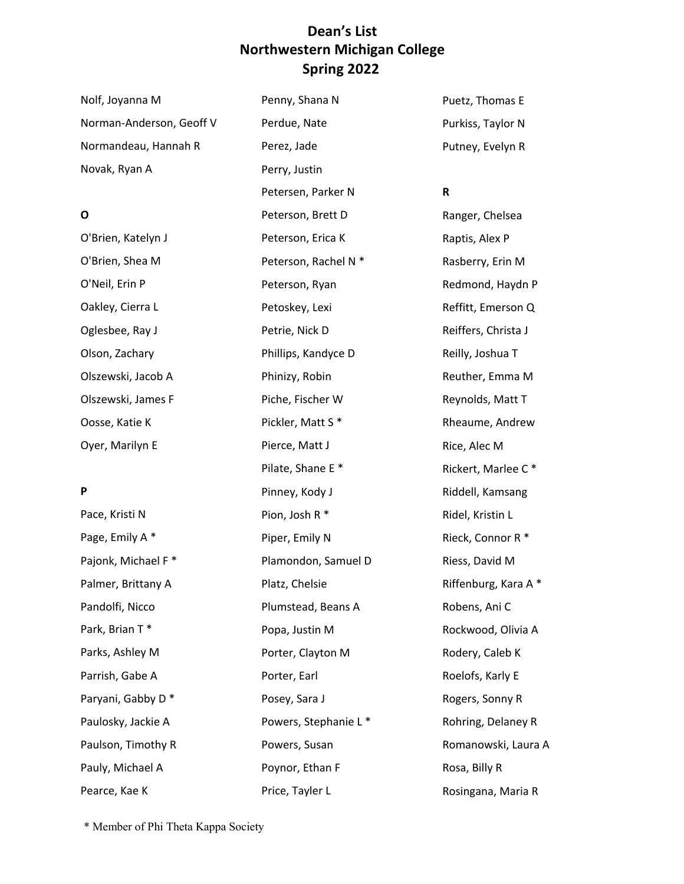| Nolf, Joyanna M          | Penny, Shana N        | Puetz, Thomas E     |
|--------------------------|-----------------------|---------------------|
| Norman-Anderson, Geoff V | Perdue, Nate          | Purkiss, Taylor N   |
| Normandeau, Hannah R     | Perez, Jade           | Putney, Evelyn R    |
| Novak, Ryan A            | Perry, Justin         |                     |
|                          | Petersen, Parker N    | $\mathsf R$         |
| 0                        | Peterson, Brett D     | Ranger, Chelsea     |
| O'Brien, Katelyn J       | Peterson, Erica K     | Raptis, Alex P      |
| O'Brien, Shea M          | Peterson, Rachel N *  | Rasberry, Erin M    |
| O'Neil, Erin P           | Peterson, Ryan        | Redmond, Haydn      |
| Oakley, Cierra L         | Petoskey, Lexi        | Reffitt, Emerson    |
| Oglesbee, Ray J          | Petrie, Nick D        | Reiffers, Christa J |
| Olson, Zachary           | Phillips, Kandyce D   | Reilly, Joshua T    |
| Olszewski, Jacob A       | Phinizy, Robin        | Reuther, Emma N     |
| Olszewski, James F       | Piche, Fischer W      | Reynolds, Matt T    |
| Oosse, Katie K           | Pickler, Matt S*      | Rheaume, Andrey     |
| Oyer, Marilyn E          | Pierce, Matt J        | Rice, Alec M        |
|                          | Pilate, Shane E*      | Rickert, Marlee C   |
| P                        | Pinney, Kody J        | Riddell, Kamsang    |
| Pace, Kristi N           | Pion, Josh R *        | Ridel, Kristin L    |
| Page, Emily A*           | Piper, Emily N        | Rieck, Connor R*    |
| Pajonk, Michael F*       | Plamondon, Samuel D   | Riess, David M      |
| Palmer, Brittany A       | Platz, Chelsie        | Riffenburg, Kara    |
| Pandolfi, Nicco          | Plumstead, Beans A    | Robens, Ani C       |
| Park, Brian T*           | Popa, Justin M        | Rockwood, Olivia    |
| Parks, Ashley M          | Porter, Clayton M     | Rodery, Caleb K     |
| Parrish, Gabe A          | Porter, Earl          | Roelofs, Karly E    |
| Paryani, Gabby D*        | Posey, Sara J         | Rogers, Sonny R     |
| Paulosky, Jackie A       | Powers, Stephanie L * | Rohring, Delaney    |
| Paulson, Timothy R       | Powers, Susan         | Romanowski, Lau     |
| Pauly, Michael A         | Poynor, Ethan F       | Rosa, Billy R       |
| Pearce, Kae K            | Price, Tayler L       | Rosingana, Maria    |

Rasberry, Erin M n P  $\overline{Q}$ Reiffers, Christa J  $M$ Reynolds, Matt T Rheaume, Andrew  $\mathsf{C}$   $^*$ Riddell, Kamsang Rieck, Connor R \*  $A^*$ a A  $y$  R ura A Rosingana, Maria R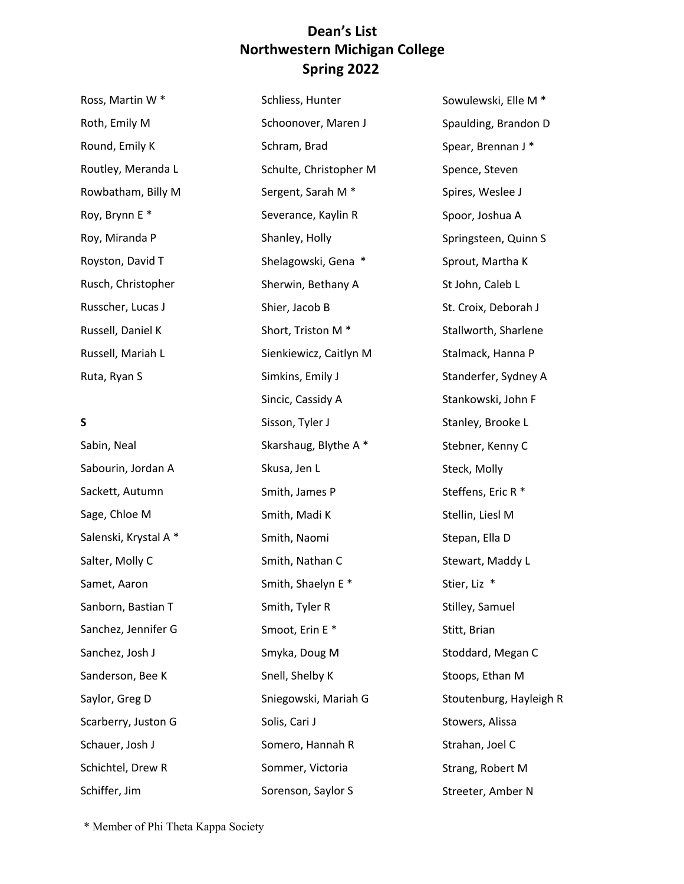Sniegowski, Mariah G

Somero, Hannah R

Sommer, Victoria

Sorenson, Saylor S

Solis, Cari J

| Ross, Martin W*       | Schliess, Hunter              |
|-----------------------|-------------------------------|
| Roth, Emily M         | Schoonover, Maren J           |
| Round, Emily K        | Schram, Brad                  |
| Routley, Meranda L    | Schulte, Christopher M        |
| Rowbatham, Billy M    | Sergent, Sarah M <sup>*</sup> |
| Roy, Brynn E*         | Severance, Kaylin R           |
| Roy, Miranda P        | Shanley, Holly                |
| Royston, David T      | Shelagowski, Gena *           |
| Rusch, Christopher    | Sherwin, Bethany A            |
| Russcher, Lucas J     | Shier, Jacob B                |
| Russell, Daniel K     | Short, Triston M <sup>*</sup> |
| Russell, Mariah L     | Sienkiewicz, Caitlyn M        |
| Ruta, Ryan S          | Simkins, Emily J              |
|                       | Sincic, Cassidy A             |
|                       |                               |
| S                     | Sisson, Tyler J               |
| Sabin, Neal           | Skarshaug, Blythe A *         |
| Sabourin, Jordan A    | Skusa, Jen L                  |
| Sackett, Autumn       | Smith, James P                |
| Sage, Chloe M         | Smith, Madi K                 |
| Salenski, Krystal A * | Smith, Naomi                  |
| Salter, Molly C       | Smith, Nathan C               |
| Samet, Aaron          | Smith, Shaelyn E*             |
| Sanborn, Bastian T    | Smith, Tyler R                |
| Sanchez, Jennifer G   | Smoot, Erin E*                |
| Sanchez, Josh J       | Smyka, Doug M                 |

 Sowulewski, Elle M \* Steffens, Eric R \* Spaulding, Brandon D Spear, Brennan J \* Spence, Steven Spires, Weslee J Spoor, Joshua A Springsteen, Quinn S Sprout, Martha K St John, Caleb L St. Croix, Deborah J Stallworth, Sharlene Stalmack, Hanna P Standerfer, Sydney A Stankowski, John F Stanley, Brooke L Stebner, Kenny C Steck, Molly Stellin, Liesl M Stepan, Ella D Stewart, Maddy L Stier, Liz \* Stilley, Samuel Stitt, Brian Stoddard, Megan C Stoops, Ethan M Stoutenburg, Hayleigh R Stowers, Alissa Strahan, Joel C Strang, Robert M Streeter, Amber N

\* Member of Phi Theta Kappa Society

Saylor, Greg D

Schauer, Josh J

Schiffer, Jim

Schichtel, Drew R

Scarberry, Juston G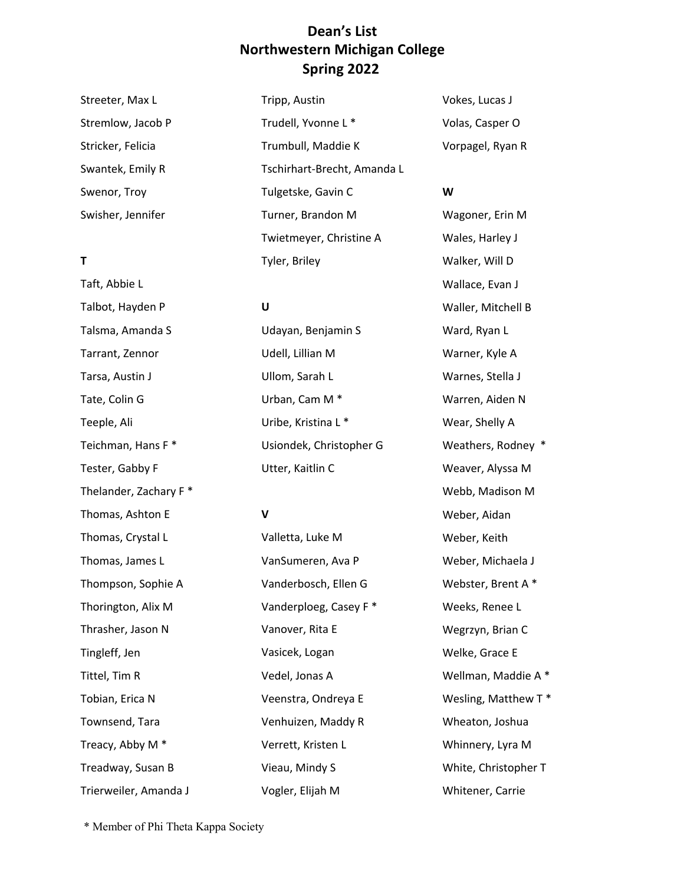Tripp, Austin

Streeter, Max L Stremlow, Jacob P Stricker, Felicia Swantek, Emily R Swenor, Troy Swisher, Jennifer

#### **T**

 Treacy, Abby M \* Taft, Abbie L Talbot, Hayden P Talsma, Amanda S Tarrant, Zennor Tarsa, Austin J Tate, Colin G Teeple, Ali Teichman, Hans F \* Tester, Gabby F Thelander, Zachary F \* Thomas, Ashton E Thomas, Crystal L Thomas, James L Thompson, Sophie A Thorington, Alix M Thrasher, Jason N Tingleff, Jen Tittel, Tim R Tobian, Erica N Townsend, Tara Treadway, Susan B Trierweiler, Amanda J

Trudell, Yvonne L \* Trumbull, Maddie K Tschirhart-Brecht, Amanda L Tulgetske, Gavin C Turner, Brandon M Twietmeyer, Christine A Tyler, Briley

#### **U**

 Udayan, Benjamin S Udell, Lillian M Ullom, Sarah L Uribe, Kristina L \* Usiondek, Christopher G Utter, Kaitlin C Urban, Cam M \*

#### **V**

Valletta, Luke M VanSumeren, Ava P Vanderbosch, Ellen G Vanderploeg, Casey F \* Vanover, Rita E Vasicek, Logan Vedel, Jonas A Veenstra, Ondreya E Venhuizen, Maddy R Verrett, Kristen L Vieau, Mindy S Vogler, Elijah M

Vokes, Lucas J Volas, Casper O Vorpagel, Ryan R

#### **W**

 Wagoner, Erin M Wales, Harley J Walker, Will D Wallace, Evan J Waller, Mitchell B Warner, Kyle A Warnes, Stella J Warren, Aiden N Wear, Shelly A Weathers, Rodney \* Weaver, Alyssa M Webb, Madison M Weber, Michaela J Webster, Brent A \* Weeks, Renee L Wegrzyn, Brian C Welke, Grace E Wellman, Maddie A \* Wesling, Matthew T \* Whinnery, Lyra M White, Christopher T Ward, Ryan L Weber, Aidan Weber, Keith Wheaton, Joshua Whitener, Carrie